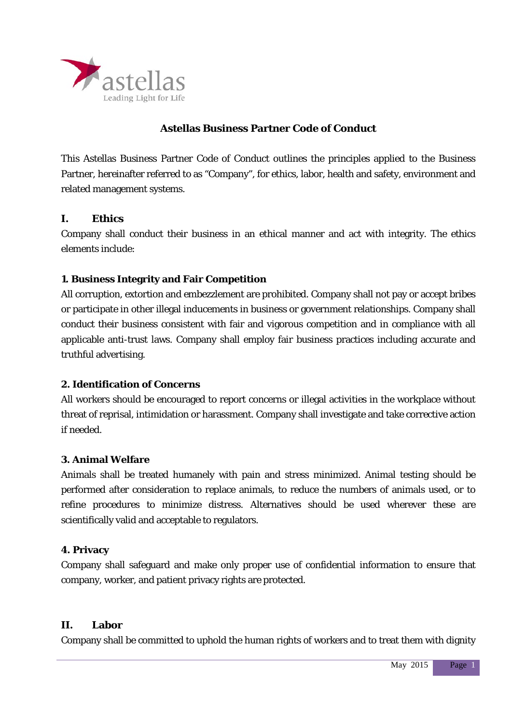

# **Astellas Business Partner Code of Conduct**

This Astellas Business Partner Code of Conduct outlines the principles applied to the Business Partner, hereinafter referred to as "Company", for ethics, labor, health and safety, environment and related management systems.

# **I. Ethics**

Company shall conduct their business in an ethical manner and act with integrity. The ethics elements include:

# **1. Business Integrity and Fair Competition**

All corruption, extortion and embezzlement are prohibited. Company shall not pay or accept bribes or participate in other illegal inducements in business or government relationships. Company shall conduct their business consistent with fair and vigorous competition and in compliance with all applicable anti-trust laws. Company shall employ fair business practices including accurate and truthful advertising.

# **2. Identification of Concerns**

All workers should be encouraged to report concerns or illegal activities in the workplace without threat of reprisal, intimidation or harassment. Company shall investigate and take corrective action if needed.

# **3. Animal Welfare**

Animals shall be treated humanely with pain and stress minimized. Animal testing should be performed after consideration to replace animals, to reduce the numbers of animals used, or to refine procedures to minimize distress. Alternatives should be used wherever these are scientifically valid and acceptable to regulators.

# **4. Privacy**

Company shall safeguard and make only proper use of confidential information to ensure that company, worker, and patient privacy rights are protected.

# **II. Labor**

Company shall be committed to uphold the human rights of workers and to treat them with dignity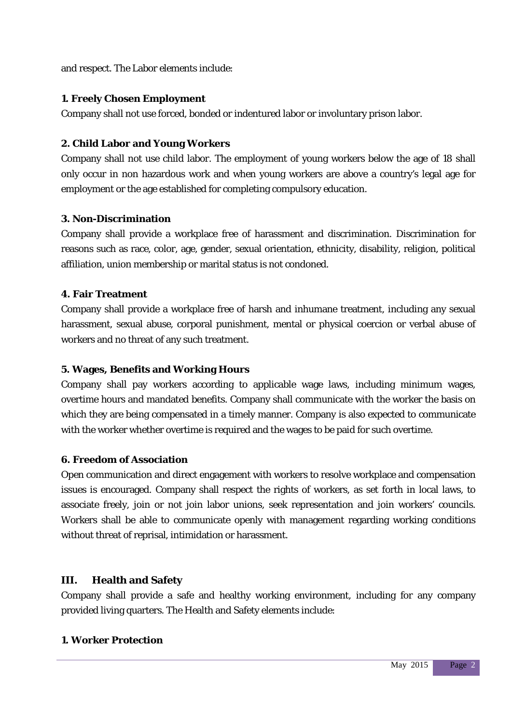and respect. The Labor elements include:

# **1. Freely Chosen Employment**

Company shall not use forced, bonded or indentured labor or involuntary prison labor.

# **2. Child Labor and Young Workers**

Company shall not use child labor. The employment of young workers below the age of 18 shall only occur in non hazardous work and when young workers are above a country's legal age for employment or the age established for completing compulsory education.

### **3. Non-Discrimination**

Company shall provide a workplace free of harassment and discrimination. Discrimination for reasons such as race, color, age, gender, sexual orientation, ethnicity, disability, religion, political affiliation, union membership or marital status is not condoned.

### **4. Fair Treatment**

Company shall provide a workplace free of harsh and inhumane treatment, including any sexual harassment, sexual abuse, corporal punishment, mental or physical coercion or verbal abuse of workers and no threat of any such treatment.

# **5. Wages, Benefits and Working Hours**

Company shall pay workers according to applicable wage laws, including minimum wages, overtime hours and mandated benefits. Company shall communicate with the worker the basis on which they are being compensated in a timely manner. Company is also expected to communicate with the worker whether overtime is required and the wages to be paid for such overtime.

# **6. Freedom of Association**

Open communication and direct engagement with workers to resolve workplace and compensation issues is encouraged. Company shall respect the rights of workers, as set forth in local laws, to associate freely, join or not join labor unions, seek representation and join workers' councils. Workers shall be able to communicate openly with management regarding working conditions without threat of reprisal, intimidation or harassment.

# **III. Health and Safety**

Company shall provide a safe and healthy working environment, including for any company provided living quarters. The Health and Safety elements include:

#### **1. Worker Protection**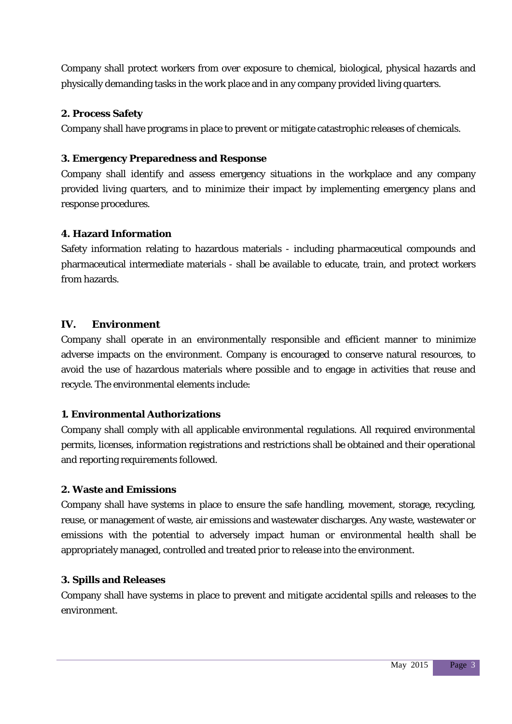Company shall protect workers from over exposure to chemical, biological, physical hazards and physically demanding tasks in the work place and in any company provided living quarters.

# **2. Process Safety**

Company shall have programs in place to prevent or mitigate catastrophic releases of chemicals.

# **3. Emergency Preparedness and Response**

Company shall identify and assess emergency situations in the workplace and any company provided living quarters, and to minimize their impact by implementing emergency plans and response procedures.

# **4. Hazard Information**

Safety information relating to hazardous materials - including pharmaceutical compounds and pharmaceutical intermediate materials - shall be available to educate, train, and protect workers from hazards.

# **IV. Environment**

Company shall operate in an environmentally responsible and efficient manner to minimize adverse impacts on the environment. Company is encouraged to conserve natural resources, to avoid the use of hazardous materials where possible and to engage in activities that reuse and recycle. The environmental elements include:

# **1. Environmental Authorizations**

Company shall comply with all applicable environmental regulations. All required environmental permits, licenses, information registrations and restrictions shall be obtained and their operational and reporting requirements followed.

# **2. Waste and Emissions**

Company shall have systems in place to ensure the safe handling, movement, storage, recycling, reuse, or management of waste, air emissions and wastewater discharges. Any waste, wastewater or emissions with the potential to adversely impact human or environmental health shall be appropriately managed, controlled and treated prior to release into the environment.

# **3. Spills and Releases**

Company shall have systems in place to prevent and mitigate accidental spills and releases to the environment.